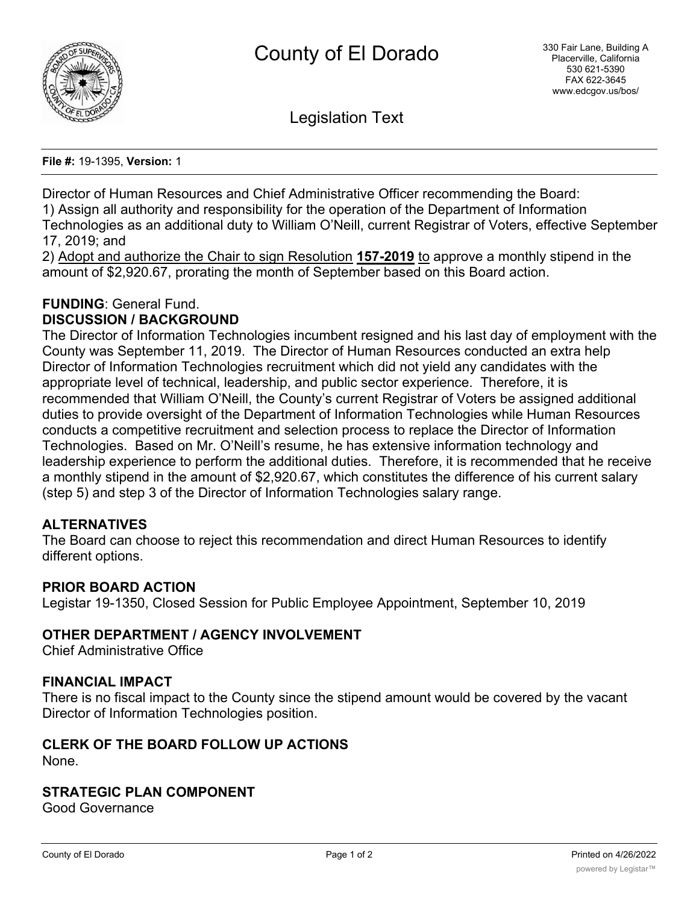

Legislation Text

**File #:** 19-1395, **Version:** 1

Director of Human Resources and Chief Administrative Officer recommending the Board: 1) Assign all authority and responsibility for the operation of the Department of Information Technologies as an additional duty to William O'Neill, current Registrar of Voters, effective September 17, 2019; and

2) Adopt and authorize the Chair to sign Resolution **157-2019** to approve a monthly stipend in the amount of \$2,920.67, prorating the month of September based on this Board action.

# **FUNDING**: General Fund.

## **DISCUSSION / BACKGROUND**

The Director of Information Technologies incumbent resigned and his last day of employment with the County was September 11, 2019. The Director of Human Resources conducted an extra help Director of Information Technologies recruitment which did not yield any candidates with the appropriate level of technical, leadership, and public sector experience. Therefore, it is recommended that William O'Neill, the County's current Registrar of Voters be assigned additional duties to provide oversight of the Department of Information Technologies while Human Resources conducts a competitive recruitment and selection process to replace the Director of Information Technologies. Based on Mr. O'Neill's resume, he has extensive information technology and leadership experience to perform the additional duties. Therefore, it is recommended that he receive a monthly stipend in the amount of \$2,920.67, which constitutes the difference of his current salary (step 5) and step 3 of the Director of Information Technologies salary range.

#### **ALTERNATIVES**

The Board can choose to reject this recommendation and direct Human Resources to identify different options.

#### **PRIOR BOARD ACTION**

Legistar 19-1350, Closed Session for Public Employee Appointment, September 10, 2019

## **OTHER DEPARTMENT / AGENCY INVOLVEMENT**

Chief Administrative Office

#### **FINANCIAL IMPACT**

There is no fiscal impact to the County since the stipend amount would be covered by the vacant Director of Information Technologies position.

#### **CLERK OF THE BOARD FOLLOW UP ACTIONS** None.

#### **STRATEGIC PLAN COMPONENT**

Good Governance